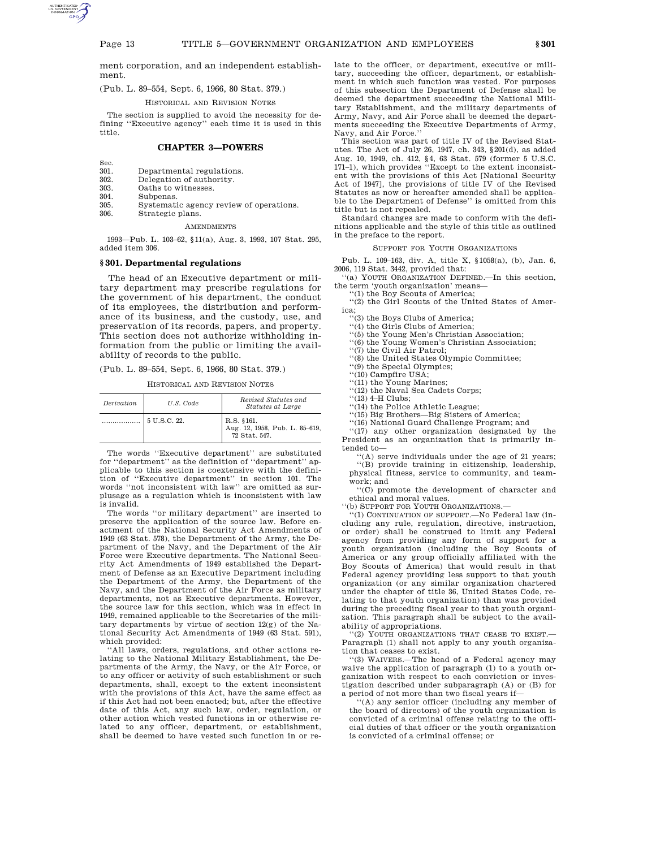ment corporation, and an independent establishment.

(Pub. L. 89–554, Sept. 6, 1966, 80 Stat. 379.)

HISTORICAL AND REVISION NOTES

The section is supplied to avoid the necessity for defining ''Executive agency'' each time it is used in this title.

# **CHAPTER 3—POWERS**

Sec.

- 301. Departmental regulations.
- 302. Delegation of authority. 303. Oaths to witnesses.
- 304. Subpenas.
- 
- 305. Systematic agency review of operations. 306. Strategic plans.

#### **AMENDMENTS**

1993—Pub. L. 103–62, §11(a), Aug. 3, 1993, 107 Stat. 295, added item 306.

# **§ 301. Departmental regulations**

The head of an Executive department or military department may prescribe regulations for the government of his department, the conduct of its employees, the distribution and performance of its business, and the custody, use, and preservation of its records, papers, and property. This section does not authorize withholding information from the public or limiting the availability of records to the public.

# (Pub. L. 89–554, Sept. 6, 1966, 80 Stat. 379.)

### HISTORICAL AND REVISION NOTES

| Derivation | U.S. Code    | Revised Statutes and<br><i>Statutes at Large</i>              |
|------------|--------------|---------------------------------------------------------------|
|            | 5 U.S.C. 22. | R.S. §161.<br>Aug. 12, 1958, Pub. L. 85-619,<br>72 Stat. 547. |

The words ''Executive department'' are substituted for ''department'' as the definition of ''department'' applicable to this section is coextensive with the definition of ''Executive department'' in section 101. The words "not inconsistent with law" are omitted as surplusage as a regulation which is inconsistent with law is invalid.

The words ''or military department'' are inserted to preserve the application of the source law. Before enactment of the National Security Act Amendments of 1949 (63 Stat. 578), the Department of the Army, the Department of the Navy, and the Department of the Air Force were Executive departments. The National Security Act Amendments of 1949 established the Department of Defense as an Executive Department including the Department of the Army, the Department of the Navy, and the Department of the Air Force as military departments, not as Executive departments. However, the source law for this section, which was in effect in 1949, remained applicable to the Secretaries of the military departments by virtue of section 12(g) of the National Security Act Amendments of 1949 (63 Stat. 591), which provided:

All laws, orders, regulations, and other actions relating to the National Military Establishment, the Departments of the Army, the Navy, or the Air Force, or to any officer or activity of such establishment or such departments, shall, except to the extent inconsistent with the provisions of this Act, have the same effect as if this Act had not been enacted; but, after the effective date of this Act, any such law, order, regulation, or other action which vested functions in or otherwise related to any officer, department, or establishment, shall be deemed to have vested such function in or relate to the officer, or department, executive or military, succeeding the officer, department, or establishment in which such function was vested. For purposes of this subsection the Department of Defense shall be deemed the department succeeding the National Military Establishment, and the military departments of Army, Navy, and Air Force shall be deemed the departments succeeding the Executive Departments of Army, Navy, and Air Force.''

This section was part of title IV of the Revised Statutes. The Act of July 26, 1947, ch. 343, §201(d), as added Aug. 10, 1949, ch. 412, §4, 63 Stat. 579 (former 5 U.S.C. 171–1), which provides ''Except to the extent inconsistent with the provisions of this Act [National Security Act of 1947], the provisions of title IV of the Revised Statutes as now or hereafter amended shall be applicable to the Department of Defense'' is omitted from this title but is not repealed.

Standard changes are made to conform with the definitions applicable and the style of this title as outlined in the preface to the report.

### SUPPORT FOR YOUTH ORGANIZATIONS

Pub. L. 109–163, div. A, title X, §1058(a), (b), Jan. 6, 2006, 119 Stat. 3442, provided that:

'(a) YOUTH ORGANIZATION DEFINED.—In this section, the term 'youth organization' means—

'(1) the Boy Scouts of America;

''(2) the Girl Scouts of the United States of America;

''(3) the Boys Clubs of America;

''(4) the Girls Clubs of America;

''(5) the Young Men's Christian Association; ''(6) the Young Women's Christian Association;

''(7) the Civil Air Patrol;

''(8) the United States Olympic Committee;

''(9) the Special Olympics;

''(10) Campfire USA; ''(11) the Young Marines;

''(12) the Naval Sea Cadets Corps;

 $\cdot$ (13) 4–H Clubs;

''(14) the Police Athletic League;

''(15) Big Brothers—Big Sisters of America;

''(16) National Guard Challenge Program; and

''(17) any other organization designated by the President as an organization that is primarily intended to—

''(A) serve individuals under the age of 21 years; ''(B) provide training in citizenship, leadership,

physical fitness, service to community, and teamwork; and

''(C) promote the development of character and ethical and moral values.

''(b) SUPPORT FOR YOUTH ORGANIZATIONS.—

''(1) CONTINUATION OF SUPPORT.—No Federal law (including any rule, regulation, directive, instruction, or order) shall be construed to limit any Federal agency from providing any form of support for a youth organization (including the Boy Scouts of America or any group officially affiliated with the Boy Scouts of America) that would result in that Federal agency providing less support to that youth organization (or any similar organization chartered under the chapter of title 36, United States Code, relating to that youth organization) than was provided during the preceding fiscal year to that youth organization. This paragraph shall be subject to the availability of appropriations.

''(2) YOUTH ORGANIZATIONS THAT CEASE TO EXIST.— Paragraph (1) shall not apply to any youth organization that ceases to exist.

''(3) WAIVERS.—The head of a Federal agency may waive the application of paragraph (1) to a youth organization with respect to each conviction or investigation described under subparagraph (A) or (B) for a period of not more than two fiscal years if—

'(A) any senior officer (including any member of the board of directors) of the youth organization is convicted of a criminal offense relating to the official duties of that officer or the youth organization is convicted of a criminal offense; or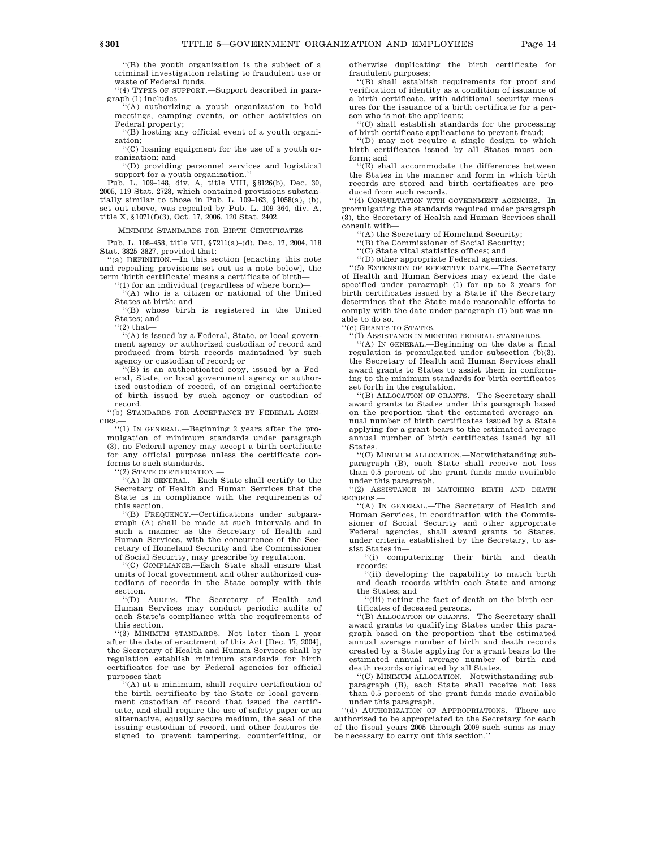''(B) the youth organization is the subject of a criminal investigation relating to fraudulent use or waste of Federal funds.

''(4) TYPES OF SUPPORT.—Support described in paragraph (1) includes—

''(A) authorizing a youth organization to hold meetings, camping events, or other activities on Federal property;

''(B) hosting any official event of a youth organization;

''(C) loaning equipment for the use of a youth organization; and

''(D) providing personnel services and logistical support for a youth organization.

Pub. L. 109–148, div. A, title VIII, §8126(b), Dec. 30, 2005, 119 Stat. 2728, which contained provisions substantially similar to those in Pub. L.  $109-163$ ,  $$1058(a)$ , (b), set out above, was repealed by Pub. L. 109–364, div. A, title X, §1071(f)(3), Oct. 17, 2006, 120 Stat. 2402.

MINIMUM STANDARDS FOR BIRTH CERTIFICATES

Pub. L. 108–458, title VII, §7211(a)–(d), Dec. 17, 2004, 118 Stat. 3825–3827, provided that:

''(a) DEFINITION.—In this section [enacting this note and repealing provisions set out as a note below], the term 'birth certificate' means a certificate of birth—

''(1) for an individual (regardless of where born)—

''(A) who is a citizen or national of the United States at birth; and

''(B) whose birth is registered in the United States; and

 $''(2)$  that-

''(A) is issued by a Federal, State, or local government agency or authorized custodian of record and produced from birth records maintained by such agency or custodian of record; or

''(B) is an authenticated copy, issued by a Federal, State, or local government agency or authorized custodian of record, of an original certificate of birth issued by such agency or custodian of record.

''(b) STANDARDS FOR ACCEPTANCE BY FEDERAL AGEN-CIES.—

''(1) IN GENERAL.—Beginning 2 years after the promulgation of minimum standards under paragraph (3), no Federal agency may accept a birth certificate for any official purpose unless the certificate conforms to such standards.

'(2) STATE CERTIFICATION.

''(A) IN GENERAL.—Each State shall certify to the Secretary of Health and Human Services that the State is in compliance with the requirements of this section.

''(B) FREQUENCY.—Certifications under subparagraph (A) shall be made at such intervals and in such a manner as the Secretary of Health and Human Services, with the concurrence of the Secretary of Homeland Security and the Commissioner of Social Security, may prescribe by regulation.

''(C) COMPLIANCE.—Each State shall ensure that units of local government and other authorized custodians of records in the State comply with this section.

''(D) AUDITS.—The Secretary of Health and Human Services may conduct periodic audits of each State's compliance with the requirements of this section.

''(3) MINIMUM STANDARDS.—Not later than 1 year after the date of enactment of this Act [Dec. 17, 2004], the Secretary of Health and Human Services shall by regulation establish minimum standards for birth certificates for use by Federal agencies for official purposes that—

 $(A)$  at a minimum, shall require certification of the birth certificate by the State or local government custodian of record that issued the certificate, and shall require the use of safety paper or an alternative, equally secure medium, the seal of the issuing custodian of record, and other features designed to prevent tampering, counterfeiting, or otherwise duplicating the birth certificate for fraudulent purposes;

''(B) shall establish requirements for proof and verification of identity as a condition of issuance of a birth certificate, with additional security measures for the issuance of a birth certificate for a person who is not the applicant;

''(C) shall establish standards for the processing of birth certificate applications to prevent fraud;

''(D) may not require a single design to which birth certificates issued by all States must conform; and

''(E) shall accommodate the differences between the States in the manner and form in which birth records are stored and birth certificates are produced from such records.

''(4) CONSULTATION WITH GOVERNMENT AGENCIES.—In promulgating the standards required under paragraph (3), the Secretary of Health and Human Services shall consult with—

''(A) the Secretary of Homeland Security;

''(B) the Commissioner of Social Security;

''(C) State vital statistics offices; and

''(D) other appropriate Federal agencies.

''(5) EXTENSION OF EFFECTIVE DATE.—The Secretary of Health and Human Services may extend the date specified under paragraph (1) for up to 2 years for birth certificates issued by a State if the Secretary determines that the State made reasonable efforts to comply with the date under paragraph (1) but was unable to do so.

''(c) GRANTS TO STATES.—

 $''(1)$  ASSISTANCE IN MEETING FEDERAL STANDARDS.

''(A) IN GENERAL.—Beginning on the date a final regulation is promulgated under subsection (b)(3), the Secretary of Health and Human Services shall award grants to States to assist them in conforming to the minimum standards for birth certificates set forth in the regulation.

''(B) ALLOCATION OF GRANTS.—The Secretary shall award grants to States under this paragraph based on the proportion that the estimated average annual number of birth certificates issued by a State applying for a grant bears to the estimated average annual number of birth certificates issued by all States.

''(C) MINIMUM ALLOCATION.—Notwithstanding subparagraph (B), each State shall receive not less than 0.5 percent of the grant funds made available under this paragraph.

''(2) ASSISTANCE IN MATCHING BIRTH AND DEATH RECORDS.—

''(A) IN GENERAL.—The Secretary of Health and Human Services, in coordination with the Commissioner of Social Security and other appropriate Federal agencies, shall award grants to States, under criteria established by the Secretary, to assist States in—

''(i) computerizing their birth and death records;

''(ii) developing the capability to match birth and death records within each State and among the States; and

''(iii) noting the fact of death on the birth certificates of deceased persons.

''(B) ALLOCATION OF GRANTS.—The Secretary shall award grants to qualifying States under this paragraph based on the proportion that the estimated annual average number of birth and death records created by a State applying for a grant bears to the estimated annual average number of birth and death records originated by all States.

''(C) MINIMUM ALLOCATION.—Notwithstanding subparagraph (B), each State shall receive not less than 0.5 percent of the grant funds made available under this paragraph.

''(d) AUTHORIZATION OF APPROPRIATIONS.—There are authorized to be appropriated to the Secretary for each of the fiscal years 2005 through 2009 such sums as may be necessary to carry out this section.''